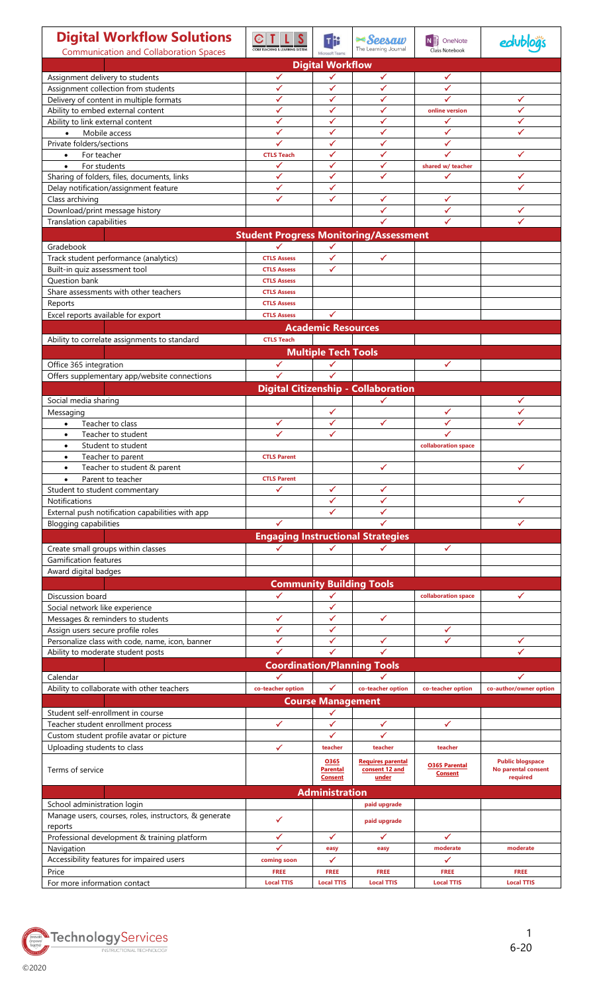| <b>Digital Workflow Solutions</b><br><b>Communication and Collaboration Spaces</b> | <b>COBB TEACHING &amp; LEARNING SYSTE</b>          | Microsoft Teams                   | <b>≍Seesaw</b><br>The Learning Journal              | OneNote<br><b>NE</b><br>Class Notebook |                                  |
|------------------------------------------------------------------------------------|----------------------------------------------------|-----------------------------------|-----------------------------------------------------|----------------------------------------|----------------------------------|
| <b>Digital Workflow</b>                                                            |                                                    |                                   |                                                     |                                        |                                  |
| Assignment delivery to students                                                    | ✓                                                  |                                   | ✓                                                   | ✓                                      |                                  |
| Assignment collection from students                                                | ✓                                                  |                                   | ✓                                                   | ✓                                      |                                  |
| Delivery of content in multiple formats                                            | ✓                                                  | ✓                                 | ✓                                                   |                                        | ✓                                |
| Ability to embed external content                                                  | ✓                                                  | ✓                                 | ✓                                                   | online version                         | ✓                                |
| Ability to link external content<br>Mobile access                                  | ✓<br>✓                                             | ✓<br>✓                            | ✓<br>✓                                              | ✓<br>✓                                 | ✓                                |
| $\bullet$<br>Private folders/sections                                              |                                                    | ✓                                 | ✓                                                   |                                        |                                  |
| For teacher<br>$\bullet$                                                           | <b>CTLS Teach</b>                                  | ✓                                 | ✓                                                   |                                        | √                                |
| For students<br>$\bullet$                                                          | ✓                                                  | ✓                                 | ✓                                                   | shared w/ teacher                      |                                  |
| Sharing of folders, files, documents, links                                        | ✓                                                  | ✓                                 | ✓                                                   | ✓                                      |                                  |
| Delay notification/assignment feature                                              | ✓                                                  | ✓                                 |                                                     |                                        |                                  |
| Class archiving                                                                    | ✓                                                  | ✓                                 | ✓                                                   | ✓                                      |                                  |
| Download/print message history                                                     |                                                    |                                   | ✓                                                   | ✓                                      |                                  |
| Translation capabilities                                                           |                                                    |                                   |                                                     | ✓                                      |                                  |
|                                                                                    | <b>Student Progress Monitoring/Assessment</b><br>✓ |                                   |                                                     |                                        |                                  |
| Gradebook<br>Track student performance (analytics)                                 | <b>CTLS Assess</b>                                 | ✓<br>✓                            | ✓                                                   |                                        |                                  |
| Built-in quiz assessment tool                                                      | <b>CTLS Assess</b>                                 | ✓                                 |                                                     |                                        |                                  |
| Question bank                                                                      | <b>CTLS Assess</b>                                 |                                   |                                                     |                                        |                                  |
| Share assessments with other teachers                                              | <b>CTLS Assess</b>                                 |                                   |                                                     |                                        |                                  |
| Reports                                                                            | <b>CTLS Assess</b>                                 |                                   |                                                     |                                        |                                  |
| Excel reports available for export                                                 | <b>CTLS Assess</b>                                 |                                   |                                                     |                                        |                                  |
|                                                                                    |                                                    | <b>Academic Resources</b>         |                                                     |                                        |                                  |
| Ability to correlate assignments to standard                                       | <b>CTLS Teach</b>                                  |                                   |                                                     |                                        |                                  |
|                                                                                    |                                                    | <b>Multiple Tech Tools</b>        |                                                     |                                        |                                  |
| Office 365 integration                                                             | ✓                                                  | ✓                                 |                                                     | ✓                                      |                                  |
| Offers supplementary app/website connections                                       | ✓                                                  | ✓                                 |                                                     |                                        |                                  |
|                                                                                    |                                                    |                                   | <b>Digital Citizenship - Collaboration</b>          |                                        |                                  |
| Social media sharing                                                               |                                                    |                                   | ✓                                                   |                                        |                                  |
| Messaging                                                                          |                                                    | ✓                                 |                                                     | ✓                                      | $\checkmark$                     |
| Teacher to class<br>$\bullet$                                                      | ✓                                                  | ✓                                 | ✓                                                   | ✓                                      | ✓                                |
| Teacher to student<br>$\bullet$                                                    |                                                    | ✓                                 |                                                     | ✓                                      |                                  |
| Student to student<br>$\bullet$                                                    |                                                    |                                   |                                                     | collaboration space                    |                                  |
| Teacher to parent<br>٠                                                             | <b>CTLS Parent</b>                                 |                                   |                                                     |                                        |                                  |
| Teacher to student & parent<br>٠                                                   |                                                    |                                   | √                                                   |                                        |                                  |
| Parent to teacher<br>$\bullet$<br>Student to student commentary                    | <b>CTLS Parent</b>                                 | ✓                                 | ✓                                                   |                                        |                                  |
| Notifications                                                                      |                                                    | ✓                                 | ✓                                                   |                                        |                                  |
| External push notification capabilities with app                                   |                                                    | ✓                                 | ✓                                                   |                                        |                                  |
| <b>Blogging capabilities</b>                                                       | ✓                                                  |                                   |                                                     |                                        | ✓                                |
|                                                                                    | <b>Engaging Instructional Strategies</b>           |                                   |                                                     |                                        |                                  |
| Create small groups within classes                                                 | ✓                                                  | $\checkmark$                      | ✓                                                   | ✓                                      |                                  |
| <b>Gamification features</b>                                                       |                                                    |                                   |                                                     |                                        |                                  |
| Award digital badges                                                               |                                                    |                                   |                                                     |                                        |                                  |
|                                                                                    | <b>Community Building Tools</b>                    |                                   |                                                     |                                        |                                  |
| Discussion board                                                                   | ✓                                                  | ✓                                 |                                                     | collaboration space                    |                                  |
| Social network like experience                                                     |                                                    | ✓                                 |                                                     |                                        |                                  |
| Messages & reminders to students                                                   | ✓                                                  | ✓                                 | ✓                                                   |                                        |                                  |
| Assign users secure profile roles                                                  | ✓                                                  | ✓                                 |                                                     | ✓                                      |                                  |
| Personalize class with code, name, icon, banner                                    |                                                    | ✓                                 | ✓                                                   | ✓                                      |                                  |
| Ability to moderate student posts                                                  |                                                    |                                   |                                                     |                                        |                                  |
|                                                                                    | <b>Coordination/Planning Tools</b>                 |                                   |                                                     |                                        |                                  |
| Calendar                                                                           |                                                    | $\checkmark$                      |                                                     |                                        |                                  |
| Ability to collaborate with other teachers                                         | co-teacher option                                  |                                   | co-teacher option                                   | co-teacher option                      | co-author/owner option           |
|                                                                                    |                                                    | <b>Course Management</b><br>✓     |                                                     |                                        |                                  |
| Student self-enrollment in course<br>Teacher student enrollment process            | ✓                                                  | ✓                                 | ✓                                                   | ✓                                      |                                  |
| Custom student profile avatar or picture                                           |                                                    | ✓                                 | ✓                                                   |                                        |                                  |
| Uploading students to class                                                        | ✓                                                  | teacher                           | teacher                                             | teacher                                |                                  |
|                                                                                    |                                                    | 0365                              |                                                     |                                        | <b>Public blogspace</b>          |
| Terms of service                                                                   |                                                    | <b>Parental</b><br><b>Consent</b> | <b>Requires parental</b><br>consent 12 and<br>under | <b>O365 Parental</b><br><b>Consent</b> | No parental consent<br>required  |
| <b>Administration</b>                                                              |                                                    |                                   |                                                     |                                        |                                  |
| School administration login                                                        |                                                    |                                   | paid upgrade                                        |                                        |                                  |
| Manage users, courses, roles, instructors, & generate                              | ✓                                                  |                                   |                                                     |                                        |                                  |
| reports                                                                            |                                                    |                                   | paid upgrade                                        |                                        |                                  |
| Professional development & training platform                                       | ✓                                                  | ✓                                 | ✓                                                   | ✓                                      |                                  |
| Navigation                                                                         |                                                    | easy                              | easy                                                | moderate                               | moderate                         |
| Accessibility features for impaired users                                          | coming soon                                        | ✓                                 |                                                     | ✓                                      |                                  |
| Price<br>For more information contact                                              | <b>FREE</b><br><b>Local TTIS</b>                   | <b>FREE</b><br><b>Local TTIS</b>  | <b>FREE</b><br><b>Local TTIS</b>                    | <b>FREE</b><br><b>Local TTIS</b>       | <b>FREE</b><br><b>Local TTIS</b> |
|                                                                                    |                                                    |                                   |                                                     |                                        |                                  |